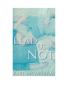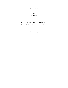"Lead Us Not"

by Kate McMurray

© 2012 by Kate McMurray. All rights reserved. Cover art by Alexis Daria, www.alexisdaria.com

www.katemcmurray.com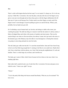## **Jess**

There's a deli on Rivington that has the best soup I've ever tasted. It's cheap, too. Or it is for me, anyway; I think Mrs. Lowenstein, who runs the place, took pity after she saw the fingers on my gloves were just worn through and not those fancy gloves with the fingers deliberately left off. Sam says it's just as well because New Yorkers need to use their fingers so much, and if the fingers weren't worn through, I'd just be pulling my gloves on and off all day. Which, yeah, probably, but my hands sure get cold.

So I'm drinking a cup of tomato basil, my favorite, and sitting at a table in the corner, just watching the people. The table has tiling on it meant to look like the inside of a subway station, I think, all chipped blues and whites with mosaics of numbers and street names. That was the scariest thing to me when we first moved here, the subway I mean, but I got used to the noise, to the homeless guy at the Delancey stop who talks to wayward pigeons, to fearing that someone was going to come along and push me onto the tracks.

This tall, lanky guy walks into the deli. I've seen him around before. Sam and I have been living in the Lower East Side long enough that it's starting to feel like its own small town. Maybe that's why I have a hard time with the subway, too; I don't like leaving the neighborhood. It's safe and familiar. There's a whole huge city out there, and it terrifies me.

The lanky guy's name is Matt, which I know because he hit on Sam at a bar once when I was standing right there.

Matt orders half a sandwich and a can of soda from Mrs. Lowenstein. He turns and gazes at me while he waits. "I know you, right?" he says.

"Dunno."

"You're the pretty little thing who buzzes around Sam Beatty. What are you, his assistant?" He leers at me.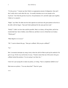"I'm his *partner*." I muster up what I think is an appropriate amount of indignation. Sam and I don't really refer to each other this way—he usually introduces me to new people as his *boyfriend*—but I like the gravitas of *partner*, the permanence of it, and after eight years together, I think we've earned it.

"Right," says Matt. He slides into the chair opposite me and traces the grout pattern in the tile on the table with his fingers. "Sam and I both auditioned for the same part last week."

"Really?" I didn't see how that could be possible. Matt is so skinny, all long limbs, and he has tousled dark hair. Sam is bulkier, more filled out, and there is never a blond hair out of place. "Which part?"

"Billy Bigelow in *Carousel*."

"Oh." I want to disarm this guy. "Sam got a callback. Did you get a callback?"

"No."

Mrs. Lowenstein interrupts my smug victory when she calls for Matt to pick up his sandwich. He gets it to go. On his way out the door, he says, "I heard a rumor that one of the actors who got a callback fucked the producer. I'm not saying it was Sam, but..."

I know he's just saying this to make me jealous, so I shrug. "Sam is completely faithful to me."

Matt raises an eyebrow. "You sure about that?" Then he's gone.

\*\*\*\*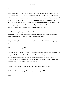### **Sam**

The library has one VHS tape that displays in all its grainy, black-and-white glory the original 1945 production of *Carousel*, starring John Raitt as Billy. Through the haze, I can discern that he's handsome and his voice is smooth and robust. I don't always watch previous productions of shows I intend to star in; I want to add my own spin to any performance and not copy what's been done before. But I really want this part, and I need anything that will give me an edge. I'm too young, I've figured that much out, but I can play older. I'll have to. Every Broadway actor between the ages of twenty-five and forty-five auditioned for this role.

John Raitt is soaring through his rendition of "If I Loved You" when Jess comes into our apartment. He pulls off those stupid fingerless gloves and tosses them on the kitchen counter before shrugging out of his coat. He's wearing a hang-dog expression.

"Hey, babe," I say from where I'm sitting on the floor in front of the TV. "How was your gosee?"

"They want someone younger," he says.

I find this surprising. Jess is twenty-six, but he's still got a trace of teenage gangliness and such a pretty face that he could easily pass for a teenager. He's hardly changed at all since we met when he was eighteen. He often gets mistaken for being a teenager, in fact. Just last week, he got carded at a bar, and the bartender kept shooting me looks like I was some pedo. I'm only two years older than Jess, but that's often mistaken for ten.

He drops onto the couch. It breaks my heart how sad he looks. I pause the tape.

"Fashion week's coming up, right? You can get some runway work."

He shrugs.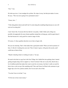"Jess," I say.

He looks up at me. A tear smudges his eyeliner. He wipes it away, but that just makes it worse. He says, "This was never going to be a permanent career."

"I know, but—"

"I like doing photo shoots and stuff, but I'm only doing this modeling thing because no one will cast me for acting jobs."

I nod. I know this. Everyone tells Jess that he's too pretty. I didn't think such a thing was possible, but apparently his more femme qualities stamp him as being gay, and his agent doesn't like that because he's only good for a narrow range of roles.

Of course, it's these qualities that drew me to him to begin with.

His eyes are amazing. That's what makes him a good print model. When you look at pictures of him, it's like he's looking into your soul. They're hazel, I guess, with green-ish accents, and I could stare at them all day.

"Maybe I should go back to working at Lucky's," he says.

He used to bar back at a gay bar in the East Village, but I talked him into quitting when I started getting enough acting work to support us. I know he doesn't like me to carry him, that he has a lot of stubborn pride that makes him want to earn his own money, but there's really no need for him to have a job on top of the modeling stuff. That, and I know he flirted with customers to get bigger tips; not to be a jealous asshole, but I'm not such a fan of that.

"You don't have to do that," I say.

"It'd be nice to have more money."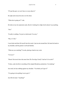"If I get this part, we won't have to worry about it."

He sighs and crosses his arms over his chest.

"What else is going on?" I ask.

He looks at me, his expression surly, like he's looking for a fight, but he doesn't say anything.

"Jess."

"It really is nothing. I'm just in a bad mood. I'm sorry."

"Hey, it's fine."

I scoot back and then lift myself onto the couch. I put an arm around him. He leans his head on my shoulder, and the gesture is soft and familiar.

"What are you watching?" he asks, placing a hand on my waist.

"*Carousel*."

"Doesn't the movie have the mom from *The Partridge Family*? And isn't it in color?"

"It does, yeah, but this is recording of the original Broadway production. I'm studying."

Jess nods, his face rubbing against my shoulder. "You think you'll get it?"

"I'm going to do anything I can to get it."

Jess lifts his head. "Anything?"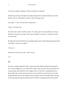I am not sure what he's implying. "Why do you think I'm studying?"

He pulls away from me and squirms. He grabs the edge of his tee-shirt and pulls on it, his tell that he's nervous. "What about, you know. Like, the casting couch?"

Is he really—? "Jess. You know that I would never—"

"I know." He looks away.

He doesn't know. That's what this is about. "It's sleazy, and it's sure to backfire. If I can't get this part on my merits as an actor, I don't want it. Besides, I'm with you. I would never cheat. You know that."

He sighs and rests his head back on my shoulder again, but he's still twisting the edge of his shirt in his hands. "I know you wouldn't."

"I love you."

He presses his face into my neck. "Yeah," he says.

\*\*\*\*

## **Jess**

He was in a campus production of *Hair*, which seems both unlikely and kind of stereotypical now. Sixties nostalgia is so over, and the show doesn't make any sense, but everyone knows the cast gets naked, and I think that's why colleges still do it. Like there's something subversive about nudity, like we don't look in the mirror every day. But that was the first time I saw him. He played Berger and wore this ridiculous brown wig that went to his shoulder blades. He sang all the songs about having life and hair and how The Man was oppressing all the free-spirited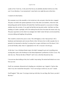youths in New York City. At the end of the first act, he dutifully disrobed with the rest of the cast. It was ridiculous. I was mesmerized. I came back every night they put on that show.

I wanted to be that fearless.

My roommate was in the ensemble, so he invited me to the cast party when the show wrapped. The party was held in the spartan apartment of one of the other cast members, where the walls had peeling paint and the furniture all looked like it had been passed to a succession of college students since the seventies. It was ugly but had that starving artist cachet. And there was Sam, standing as if under a spotlight, still in his makeup from the show but minus the insane curly wig. The peace sign drawn on his cheek was smudged, but I didn't mind. He had a crowd around him, everyone talking and laughing, him grinning.

This would be a trend in the years to come. This still happens, in fact. Sam just has *It*. He's handsome and charismatic and everyone flocks to him. He knows how to talk to people, how to pretend to be interested in what they're saying, how to agree with them even if he doesn't. He's jovial and friendly, dishy when it's appropriate to be. He's everyone's favorite guy.

At the time, I was a freshman theater major who hadn't managed to get cast in anything more exciting than a part as the Soothsayer in the drama department's production of *Julius Caesar*. My only line was, "Beware the Ides of March!" and I wore a robe that obscured my face.

I was nervous about talking to him, but I couldn't stop staring. He noticed and looked over at me. Our eyes met.

Geoff, my roommate, distracted me by handing me a red plastic cup. I sipped it. I had no idea what it was, but it tasted like fruit punch. "You're not trying to roofie me, are you?" I asked.

Geoff laughed. "Nah, man. I'm trying to hook up with Julie, for one thing. But I know you don't like beer."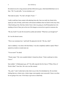He looked at me for a long moment and then followed my gaze, which had drifted back over to Sam. "Oh," he said softly. "Let me introduce you."

That made me panic. "No, that's all right, I'll just—"

I really would have been content with admiring from afar. Sam was really hot, blond with a square jaw and a fit body, and he had a self-assured confidence that was hard to look away from. I liked looking at him. But then, before I knew what was going on, Geoff had pushed me to be standing in front of Sam, just as the rest of his hangers on moved on to gawk at someone else.

"Oh, hey Geoff," he said. He lowered his eyelids and smirked. "What have you brought me?"

So I was the dessert course.

"This is my roommate Jess," said Geoff. He glanced to his left. "Oh, hey, Julie!"

And so suddenly, I was alone with Sam Beatty. I was also completely unable to speak. When I opened my mouth, no sound came out.

"You an actor?" he asked.

"Theater major." My voice sounded choked. I cleared my throat. "I had a small part in *Julius Caesar*."

Sam nodded. "A Shakespeare guy, eh?" He softly sang the first few lines of "What a Piece of Work Is Man?" from *Hair*. His voice was like caramel.

"Ha, yeah," I said. I really had no idea what to say to him. He intimidated me. He was better looking than me, a better actor, a better singer, more popular, more successful. I knew even then he was going to be a star. I'd be lucky to get cast as a dead body.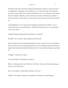He started to talk, and I was having a hard time paying attention, because my mind swam with everything that was happening: he was talking to me, I was attracted to him, I had a hunch he was gay but I wasn't totally sure, I liked the smoothness of his voice, I liked the way his real hair fell on his forehead, I liked the way his tee-shirt fit over his pecs, I liked his long eyelashes, I was such a dweeb, I was too skinny, I was too small, I was too femme, he'd never like a guy like me.

"I like Shakespeare," he was saying when I managed to tune back into his chatter. "I was in *Twelfth Night* when I was a freshman and..." He trailed off and stared at me for a long moment. "Gosh, you're pretty."

I laughed, startled and surprised by his assessment. "Oh, shut up."

He smiled. "No, I'm serious. Surely people have told you that."

My face heated up. I'd been hearing that description, "pretty," for most of my life, and I hated it. Girls were pretty. Men were strong and handsome. Sam was classically masculine and attractive, angular, big. He had broad shoulders defined muscles. He was everything I thought a man should be.

I shrugged. "I get that a lot, I guess."

"You say that like it's a bad thing. It's really not."

Before I could stop myself, I said, "Pretty isn't hot. Pretty's what you call the nice-looking guy you don't want to sleep with."

Sam's eyes widened. "I amend what I said, then. You're hot."

"Really?" It was hard to contain my own skepticism. I felt like he was patronizing me.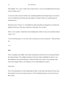Sam laughed. "Yes, *really*. I really want to sleep with you. You are one hundred percent the type of guy I usually go for."

I'm not sure what I said, but I think it was something bashful and self-deprecating. Or I stared at my feet, shuffled back and forth, and said nothing. I still didn't believe he could possibly be interested in me.

But then he said, "I'll prove it." He grabbed my hand and pulled me through the crowd that had gathered in the room. "Hey guys! I gotta run. Great party. See you later."

Then we were outside. I looked back at the building from which we'd just come and then looked at Sam. "Uh..."

"You're the hottest guy I've ever seen. Don't let anyone ever tell you otherwise." Then he kissed me.

#### \*\*\*\*

### **Sam**

Tyler is standing in the middle of the studio stretching such that he has to be showing off before the rehearsal begins. The sunlight streaming in from the windows highlights his skin in a way that emphasizes how good-looking he is, makes his body seem to glow. Several people, other actors and company dancers, are looking on, not even pretending not to gawk.

I hate Tyler.

Part of me had hoped he was also auditioning for Billy, so that when I got the part he'd go away, but instead he's been cast as Enoch, and now we'll be sharing this space every day for the next three weeks.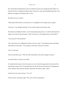He's tall and thin and handsome in the way Hollywood actors are, though the dark shadow of a beard on his face is making me think he hasn't shaved in a week, and something about that is the epitome of arrogance and laziness that is Tyler.

He smirks at me as I walk in.

"Why Samuel! Rob told me you'd been cast. I'm delighted to be working with you again."

"Likewise," I say, though obviously I'm not, and I'm pretty sure he knows this.

He stretches by holding his elbow over his head and pressing down on it with his other hand. He stands on one foot for good measure. "How is the tiny boy you brought with you from Ohio?"

"You mean Jess? My boyfriend?"

"Oh, is that what we're calling him? Seems to me he's a pest." Tyler drops his arms and stands with both feet on the floor. "You could go to bed with a real man, you know."

"Jess is a real man."

Tyler tuts and turns away. "Well. My offer still stands if you need a change of scenery."

You better believe I roll my eyes at that.

It's handy that the nature of our roles means we won't share the stage much at all, and our first rehearsal goes pretty well. I'm basically done for the day and am in the process of changing out of my character shoes and into sneakers when Rob, the director, barks, "Sam!"

I stand, just in my socks, and say, "Yes, sir?"

"Will you show Tyler these steps?" His voice is full of exasperation.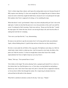Tyler's a better singer than a dancer, and I guess the casting makes sense now because the part of Billy requires more dancing. It's clear soon enough that Tyler skipped the part of whatever dance classes he took in which they taught the ballet basics, because he isn't even placing his feet right. Rob explains what Tyler is supposed to be doing, so I try modeling the steps.

When that doesn't work, I get frustrated. I drop to my knees and physically put Tyler's feet in the right spots. I realize too late that this puts me in very close proximity to him, and I can smell his sweat. I'm ashamed to find it arousing. I back away and say, "Keep your feet like that." I model the steps again. He's better this time, but he's not moving his hips at all, and it has the effect of making him look like he's stomping.

"Now move your hips like this," I say, demonstrating.

He stares at me and tries to ape the movement, but it's all wrong and he looks uncoordinated. Again, without thinking about it, I grab his hips and move them the way they should move.

His skin is warm under the soft fabric of his yoga pants. His hipbones seem sharp, too. Hell, his whole body is hard, which is evident up close. And I do mean his *whole* body; the fabric of his pants can't hide his erection. I've been in enough dance classes that I know this is hardly unprecedented, but I have to fight to keep my eyes away from it.

"Better," Rob says. "Now pretend Sam is Carrie."

Tyler chokes on his laugh. The actress playing Carrie, a gorgeous girl named Evie, is close to a foot shorter than I am. But Rob glares at us, so Tyler obeys, moving behind me and putting a hand on my waist. I don't know these steps well, and it's clear that Tyler is supposed to lead me, so I do my best to follow him through the routine. He *is* improving; he already looks less awkward than he did earlier in the rehearsal.

When Rob is satisfied, he declares us done for the day. Tyler says, "Thanks."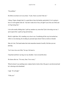"No problem."

He follows me back over to my shoes. "Look, I know you don't like me."

I shrug. I figure, though, that it's a good idea to bury the hatchet, particularly if we're going to have to work together after all. "Just don't make fun of Jess, all right? Leave him out of this and we'll get along fine."

I sit on the nearby folding chair. I pull my sneakers on, aware that Tyler is hovering over me. I opt to ignore him. I grab my bag and stand up.

But he's right there. He's standing very close to me. Considering all the ways he touched me while we were dancing, his invading my personal space doesn't feel as weird as it should.

Man, he's hot. The beard makes him look masculine instead of scruffy. His blue eyes are piercing.

"Let's leave Jess out of this," he says. He leans in.

I hop back and throw my bag over my shoulder. I move toward the door.

He chases after me. "I'm sorry, Sam. I'm so sorry."

When he doesn't say anything more, I glance back to look at him. His gaze is cast downward and he's chewing on his thumbnail.

I sigh. "It's all right."

"I like you."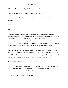"I know. But I'm in a relationship. I'd like *you* a lot more if you respected that."

"I do." At my dubious glare, he adds, "I will. I promise. Friends?"

I don't want to be Tyler's friend, but in the spirit of show camaraderie, I nod. When he extends a hand, I shake it.

\*\*\*\*

### **Jess**

After finally getting some work—four modeling gigs during Fashion Week, so nothing permanent, but decent money just the same—all I really want to do is go home and go to bed. I spent most of my last go-see of the day dreaming of my soft, warm bed at home, perhaps with my sexy boyfriend—*partner*—there, but that's not even a requirement. I'm so tired I can barely keep my eyes open. But Sam called just before I got on the subway and asked me to meet him at a bar on Ludlow, so even though I don't want to, I'm headed there instead of home.

Sam's not there yet when I get to the bar, but Matt sure is. He's sitting on a stool, sipping from a beer, and he gives me such a lecherous once over as I walk in that it makes my skin crawl. I look around, hoping Sam really is there but not in my initial line of sight. Unfortunately, it's a small bar. Unless he's in the bathroom or hiding behind the jukebox, he's not here yet.

"So we meet again," says Matt.

I'm sure it's a coincidence—we all live in the same neighborhood, there's no reason for us *not* to run into each other—but I wonder sometimes if Matt is stalking me. Or, more likely, if he's stalking Sam. I shrug to acknowledge I heard him.

"You know, I don't know your name," he says.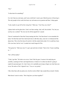"Jess."

"Is that short for something?"

It is, but I hate my real name, and I sure as hell don't want to give Matt the power of knowing it. The only people in the world who know my real name are my parents and Sam. I shrug again.

"Look, maybe we got off on the wrong foot," Matt says. "Can I buy you a beer?"

I glance back out the glass door. I don't see Sam coming. And, well, free alcohol. "No, but you can buy me a cocktail." He owes me for all the anguish he's caused.

I haven't mentioned to Sam that I keep running into him. I bet Sam doesn't even remember his name. Not that Sam and I have had much time to talk these days, since he's in rehearsal all the damn time. This is the first time all week he's left the studio before dark. Or it would have been if he were here, but he's not. I wonder how much longer he'll be.

"Not gonna lie," Matt says once I've got a gin and tonic in-hand. "Sam is hot. I'd give anything  $to$  $\rightarrow$ "

"He's off the market."

"Yeah, I get that." He looks over at me. I don't like his gaze. It seems to be analyzing me carefully, scanning for flaws and imperfections or whatever it is about me that he's going to exploit for personal gain. Or, I don't know, he's probably just trying to figure out what Sam sees in me. He nods as if he's figured it out. "You *are* very pretty."

I like when Sam calls me pretty now, but the word on Matt's lips sounds like an insult. I bristle.

Matt doesn't seem to notice. "How long have you been together?"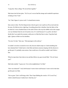"Long time. Since college. We moved here together."

Matt stares into his beer glass. "Ah. So you've never had the strange and wonderful experience of dating in New York."

"No." But I figure it's just as well. I've heard horror stories.

Sam comes in then. The first thing he does when he gets to me is pull me off my stool and into his arms. He folds me into a tight hug. Everything about this is familiar, from the fabric of the tee-shirt he's worn a hundred times to the smell of him to the way the stubble on his chin scrapes over my forehead when he sort of nuzzles at me. It's weird because it's so *public*, but then I decide that I can exploit the moment, really prove to Matt that Sam is mine. I hug Sam back tight. I glance at Matt over his shoulders.

"So sorry I'm late," Sam says. "Sick passenger on the subway."

It wouldn't even have occurred to me to ask, but now doubt creeps in. Could something else have detained him? I think back to what Matt said about someone sleeping with the director to get the part. It's probably some actress. Sam would never. He said he wouldn't and I believe him.

When he steps back, Sam looks at me and then follows my gaze toward Matt. "Uh, do I know you?"

Matt looks startled. "I guess not. I live in the neighborhood. I'm Matt."

"How was rehearsal?" I ask, both because I want to know and because I want to rub in that Sam got this part over Matt.

"Not so great. Tyler's still being a dick. Then I kept flubbing the words to 'If I Loved You,' which is dumb because I totally know what they are."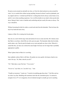He puts an arm around me and pulls me close, so I kiss his cheek and put my arms around his waist. I try to comfort him without saying anything, because he doesn't need my platitudes, just my support and love. I remind myself that he's working hard, but he always comes home to me, and he's never done anything suspicious. I try to tell the doubts in my mind to shut up and calm down. Being in Sam's arms is familiar and comforting and just exactly the same as always. The way it should be.

Without loosening his hold, he orders a scotch and soda from the bartender. Then he kisses the top of my head and eases away.

I glance at Matt. He is staring into his pint glass.

Sam sits on a stool with his legs wide and motions for me to come near him. He's barely aware that Matt is even there, which fills me with a perverse glee. The bartender slides him his drink, and he takes a sip. Then he puts his hands on my waist and pulls me close to him. When he's seated like this, our faces are at about the same height. He kisses me for longer than is probably appropriate in public.

When I glance back at Matt, he's scowling.

Sam suddenly realizes Matt is still there. He pushes me away gently, but keeps a hand on my waist. He says, "So, Matt, what do you do?"

"Uh." Matt takes a sip of his beer. "I'm an actor."

"So are we," says Sam, in a "you don't say..." tone.

"I hardly act anymore," I point out. "I mostly do modeling gigs these days." I feel like such an ass when I say that. Modeling still sometimes feels like the consolation prize. I'm attractive enough to be on TV or in magazines, but not talented enough to actually get cast in anything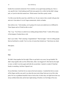besides the occasional commercial. Not to mention, as my agent keeps pointing out, I have a very specific look. I tried making myself look more generic for a while, but that didn't change jack, so I just do what feels natural now. Which means I look like a pretty weirdo.

I'm fully aware that this career has a shelf-life, too. No one wants to hire a model with gray hair and crow's feet unless it's to do Viagra commercials, which, no thanks.

Sam smiles at me. "And someday, you're going to be in just your underwear on a billboard in Times Square and we'll both be able to retire."

"Ha," I say. "You'll have to settle for me walking during Fashion Week." I rattle off the names of the designers I booked shows with.

Sam's eyes widen. "That's amazing. Congratulations!" Then he laughs. "I do love telling people that my boyfriend is a model. You're so hot, of course they booked you." Sam kisses my cheek.

Matt glares.

\*\*\*\*

## **Sam**

We didn't sleep together the first night. When we got back to my room, Jess got bashful. We didn't sleep together after our first official date, either. Jess begged off. After that kiss the night we met, we didn't even kiss again until after the second date. I started to wonder if I had bad breath or something. And then I figured it out.

On our third date, I took him for ice cream at the local creamery. I watched him lick ice cream off his fingers and the cone and it was about the most erotic thing I had seen in my life to that point. He was so goddamn beautiful it hurt to look at him. In those days, his light brown hair was always artfully disheveled, and he had a light dusting of freckles over the bridge of his nose.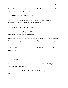Plus, I really liked him. A lot of that was intangible and tangled up with lust, but he was friendly and affable and had a self-deprecating sense of humor. These were all qualities I admired.

So I said, "It's okay to admit that you're a virgin."

He almost dropped the cone, but I reached out and grabbed his hand before he could. Ice cream dripped onto my fingers, but I didn't care. He just stared at me.

"I want to be the man who... shows you," I said.

He continued to not say anything, although he turned his intense stare toward his ice cream cone and my hand, which was still cupped around his.

"I know that all the gay guys on this campus act like they're total sluts," I went on, "but most of them have even less experience than you do, I'm guessing. I know it can be intimidating, but the guys around here are all talk."

Jess hadn't blinked in at least a minute, as far as I could tell. He looked back at me. "But you're not a virgin," he said quietly.

## "No."

# He nodded slowly.

"But I think it's better this way," I said. "This way we won't both be just fumbling in the dark. I know a few tricks I think you'll like."

He smiled faintly, but his shoulders relaxed. He pulled his hand away and resumed eating his ice cream.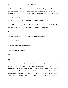Not that I was even that worldly, but at twenty, I thought I had it all figured out. And what I knew then was that I'd known that fear once, had gone through these first steps into really owning my sexuality already. I knew that, to Jess, everything must have felt capital-I Important.

I wanted to treat this like it was no big deal, but my stomach was churning, too. Jess wasn't just some guy. I had real feelings for him. I saw our relationship going somewhere.

I wanted this to be no big deal because that's how the first time was for me. My first lover had been some guy I'd met when I was seventeen and so horny my skin itched.

And yet.

"We could have something great," I said. "We could be great together."

"Yeah?" he said, taking a bite out of the cone.

"Yeah. You and me. Love story for the ages."

He smiled, genuinely this time.

#### \*\*\*

## **Jess**

During his last two years in college, Sam lived in a standard-issue off-campus apartment with three roommates and a big shaggy dog. He had his own room, luckily. I had that room memorized. I knew where the floor was scuffed, where the wall was nicked, where Sam had a tendency to toss his shirts when he took them off. We were in that room the afternoon I helped him pack for a three-week trip to upstate New York, where he'd be playing Biff in a summer stock production of *Death of a Salesman*. We'd been dating about three months by then.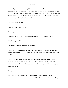I was terribly sad that he was leaving. The semester was winding down, but my parents lived thirty miles away from campus, so I wasn't going far. I'd gotten a job at a bookstore in town, in fact. The plan was for Sam to come back after his summer stock gig and work as a counselor at a theater camp nearby, so we'd still get to spend the rest of the summer together. But those three weeks stretched before us then like an eternity.

"I'm coming back," he said.

"I know." But why was I so upset?

"I'll miss you," he said.

I supposed that was the issue. I reached over and put a hand on his shoulder. "Me too."

"You'll miss yourself?"

I laughed and pulled him into a hug. "I'll miss *you*."

He laughed with me and hugged me tightly. "I'm totally reachable by phone, you know. Call me anytime. Your parents get on your nerves, your job sucks, even if you're just bored, you can call me. Okay?"

I pressed my cheek into his shoulder. The fabric of his tee-shirt was soft and he smelled wonderful, like sweat and minty aftershave. Warmth spread through my chest as I touched him, as I pressed against him, as I let his words settle in my brain, in my heart. Then the thought just popped into my head:

*I love you*.

In books and movies, they always say, "You just know." I always thought that was bunk, because how would you know if you love someone? With family, it was just this innate thing,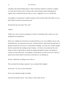something I felt without thinking about it. With a boyfriend, I figured it would have to happen over time, that I'd slowly come to realize it after weeks of going on dates and hanging out together, that it would be this process. But, no. It just... happened. *I love you*. Just like that.

And suddenly I was paralyzed. I couldn't possibly say that out loud. What if Sam didn't love me back? What if my brain was just being crazy?

He kissed the top of my head. "Hey, Jess?"

"Mmm?"

"Before I go, I have to tell you something. It's kind of a weird thing, and it's hard to say, but I thought that you should know."

Panic set in. I pulled away from him as my pulse kicked up, as my veins suddenly went icy cold. He had bad news. The expression on his face—the furrowed brow, lip-between-the-teeth look I'd figured out meant he was nervous or worried about something—gave him away. I hadn't thought that this moment had been leading toward a breakup—we'd had a conversation just the week before in which we agreed that we should stay together through the summer even though we wouldn't see each other much—but suddenly I worried that he was about to leave me. That he'd gotten into my head somehow and read my mind and now was freaking out.

He said, "I think that I'm falling in love with you."

That was about the last thing I expected. I was so surprised that I laughed.

He frowned. "Aw, Jess. It wasn't that funny."

Nerves were making me laugh even harder.

Sam threw his hands in the air. "Fine, forget it. I take it back. Ha, ha."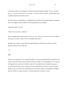It took some effort, but I managed to catch my breath and stand up straight. "No, no, you don't get it. I... I'm in love with you, too. I was just... it's such a relief. It's great!" I meant what I said. I couldn't keep the smile from my face.

He still looked at me doubtfully, so I grabbed his face and kissed him hard, hoping to assuage his fears. He wrapped a hand around my wrist and pushed me away slightly.

"Holy shit, really?" he said.

"Yeah. I love you, Sam. I really do."

Then he laughed and kissed me again. "I love you, too. I love you, I love you, I love you! Man it feels great to say that. I think I'll say it a hundred more times."

He didn't get a chance, because then we started making out. But that was maybe one of the greatest moments of my whole life.

\*\*\*\*

## **Sam**

On the way to rehearsal, I see a scarf in the gutter. It's more an ornamental than a practical scarf, made of some kind of thin, green material with silvery stripes woven throughout. It's just the sort of thing that Jess would wear. I briefly wonder if it's his and he lost it, but that minty green is one of his least favorite colors. Actually, now that I think about it, he hasn't worn any of those sparkly scarves in a while. He's squirreling away his money, maybe, not spending it on frippery like that. Which is a shame, because I've always liked how he looks in a scarf.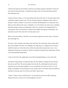I ride the train uptown and wish that I could see Jess instead of going to rehearsals. We haven't seen much of each other lately. I'm glad he has steady work, but I miss him being around at home during the day.

I forgot my book at home, so I'm stuck looking at the ads on the train. It's the same typical stuff: community colleges, dentists, beer. The city recently launched a campaign to help victims of domestic violence, and there's one ad with a somewhat disturbing photo of a young man with a black eye and a split lip. The copy is in Spanish, so I'm not entirely sure what it says, something about there being no shame in seeking help. It takes me a moment to feel disgusted that I'm assessing how those cuts and bruises could have been added with makeup or Photoshop. Am I really that cynical? Is this what New York has done to me?

When we first moved here, it felt like it was me and Jess against the world. Lately, it feels like the world might win.

Of course, Tyler is already at the studio when I get there. He's practicing a dance routine right there in the middle of the floor. He's flubbing every fifth step or so, turning his foot in when it should be turned out. I shout this at him, which only makes him stop and stare at me. I wave, hoping that will get him to go back to what he was doing, but instead he just stands there, his feet in an awkward ballet third position.

I want to yell at him. His reappearance in my life has disrupted things in a way I don't like.

The director keeps asking us to help each other out, and I think he's getting off on the tension between me and Tyler. The actress playing Carrie has the flu, and though she showed up for rehearsal, she was sent home promptly so as to not make the rest of the cast sick. So I, of all people, am standing in for her during one scene, trying to show Tyler dance steps he should have mastered a week ago, each of us all up in each other's dance space.

"Frame!" I shout at Tyler. I jostle his arms. "If you hold your arms more stiffly, that keeps distance between us, and you won't keep stepping on my foot."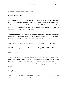Tyler grunts but holds his dance frame correctly.

"Come on, Ty, this is Dance 101."

That's when it occurs to me that Tyler is deliberately flubbing to get closer to me. There's no way a guy this inept would ever get cast in a role in a Broadway production that required this much dancing, not unless he were Hollywood famous, which Tyler definitely isn't. Lots of good actors auditioned for the part, guys I know who can sing and act and dance with the best of them. Which means Tyler can't be as clumsy as he seems.

I'm thinking about this while I demonstrate something, and it literally trips me up. I falter, shake my head, and manage to do it correctly, but I'm unnerved by this new realization. Tyler has a thing for me, but would he really disrespect Jess this way after I told him not to?

After rehearsal, Tyler sidles up to me and says, "I've got a bead on small part in a movie."

"Yeah? You planning to quit this one-horse town for the bright lights of Hollywood?"

He shrugs. "Maybe."

I wasn't expecting him to say yes. Most of the theater actors I've met, especially the gay ones, will do the occasional TV appearance but don't really to want to venture into film, don't want to deal with being under the Hollywood spotlight. I can't imagine giving up a major role in a Broadway musical for a tiny part in a movie. Plus, I don't like Tyler, but if he leaves, we're kind of screwed.

"Really?" I say.

"Entertaining the possibility. My agent is tight with this casting director. I'd be playing the gay sidekick to the female lead in a rom com."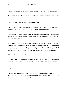I sit down to change out of my character shoes. "Well, gee. That's not a walking stereotype."

"It's a role. It pays more than playing second-fiddle to you on a stage." He spits out the words, sounding not a little bitter.

I scoff. I put my shoes in my bag and slip on a pair of sneakers.

"Sorry," he says. "Look, it's a good opportunity, good exposure. I'm sick of struggling to pay rent every month. I bet you are, too. I can get you an appointment with the casting director."

"What, and leave all this?" I gesture around the room. The studio is clean and well-lit, but plain, the floors scuffed. It's every studio I've ever been in, basically. A thousand grueling rehearsals play through my memory.

Tyler rolls his eyes. "Sure, this is every theater geek's dream, huh? Maybe this was what you aspired to when you were a sixteen year old plaintively singing along to the *Les Mis* soundtrack and gazing out your bedroom window, but I want bigger things for myself. Besides, revivals like this are on their way out. You can't put a show on Broadway without a big name anymore."

"That's not true." But I know better.

"It *is* true. You try to do something spectacular, but you're just another kid who came to the big city in search of a dream that can never be fulfilled." He shrugs. "I'm just trying to keep my options open."

"Yeah."

"Feel free to continue trying to live your hopeless dream." He turns on his heel and starts to waltz out of the studio. Before he goes through the door, he turns his head and says, "But holler if you want to talk to this casting director."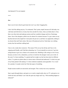## And damned if I'm not tempted.

\*\*\*\*

## **Jess**

Sam is out of sorts when he gets home but won't say what's bugging him.

I don't feel like talking anyway. I'm exhausted. That's pretty stupid, because all I did today was walk back and forth down a twenty-four-foot catwalk five times, when you think about it. Sure, there were three hair-and-makeup sessions and four wardrobe changes and lots of backstage chaos. One of the designers yelled at me for almost five minutes because I've got a tattoo on my hip that showed in the stupid low-waist pants she put me in, and there was apparently nothing in my dossier that said I had a tattoo. But most of the physical activity I had today was walking twenty-four feet and then walking back.

I have to do a trunk show tomorrow. This means I'll be on my feet all day and I have to be outgoing and friendly, and I find that exhausting, too. I'm not naturally an extrovert. I got into acting because it gave me a chance to be someone else. Modeling is like acting in a lot of ways, because you have to be a chameleon, you have to look how the designer wants you to look. In the years I've been modeling, I've gained and lost weight, my hair has been dyed six different colors, I've gotten my photo taken in various states of dressed and undressed, I've had every part of my body painted with makeup, I've been rendered completely unrecognizable. I'm a vessel for a product. It sounds weird, but I like that aspect of modeling.

People assume models are narcissistic and arrogant. This is rarely true in my experience.

Sam is quiet through dinner, and quiet as we watch a stupid reality show on TV, and quiet as we climb into bed, and finally I can't take the quiet any longer and I say, "Did something happen at rehearsal?"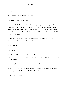"No, it was fine."

"Did something happen outside of rehearsal?"

He hesitates. He says, "Eh, not really."

I'm not sure if I should push this. I'm tired and cranky enough that I might say something to start a fight, which I can't deal with right now. But there's that doubt again, wondering what he's hiding from me, wondering if it's as bad as I fear. In the end, I don't pursue it because I don't want to know the answer, don't want to know if I'm right. I settle onto the mattress and pull the covers up to my shoulders.

He flips off the bedside lamp, which pretty effectively tells me that we're just going to sleep. Fine by me. But then he says, "Is this enough?"

"Is what enough?"

"What we have."

"Yes." Although I don't know what he means. What we have in our relationship has been enough for a long time, and I demonstrate that by rolling over and snuggling with him. He puts an arm around me.

Sam was my first everything. I can't imagine wanting anything else.

But maybe he's asking about the apartment or money or our jobs. Maybe he's asking about something he wants that I can't give him. I don't know. He doesn't elaborate.

"Are you unhappy?" I ask.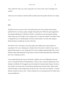"How could I be? I have you, I have a great job, I live in New York. I have everything I ever wanted."

It takes me a few minutes to realize he didn't actually answer the question. By then, he's asleep.

#### \*\*\*\*

### **Sam**

The plan was for us to move to New York and become actors, but it became obvious pretty quickly that Jess was always going to struggle with getting work. When his agent suggested he start taking modeling jobs, I told him he should. I, meanwhile, am far more generic-looking, which I guess gave me an edge as far as casting went, or at least more options. The theater world is strange that way. For all that people will tell you talent matters over looks, that casting is blind, that doesn't actually pan out most of the time.

We'd been in New York about a year when reality came calling, and we had to adjust our expectations. We were so fucking naive. People tried to tell us that it wouldn't be easy, and we ignored them because we were young and in love and everything seemed possible. But a year of sharing a shitty studio apartment, living mostly on ramen noodles and peanut butter sandwiches, has a way of running you down.

It was around that time that I got my first break. I landed a role in an off-Broadway play that wasn't very good but still ran 149 performances. I had a co-star, a super hot Japanese guy who I thought was brilliant. He'd struggled to get roles despite his immense talent because, he said, no one wanted to cast Asian actors. He also had an apartment near Lincoln Center. When I asked what he had done to earn enough money for that, he said, "I don't have any furniture." I worried that this would be my fate as well—I had no intention of ever closeting myself, but I didn't know any gay leading men.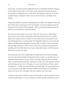In those days, we'd walk around our neighborhood and Jess would torture himself by looking at the fine clothes in shop windows. We'd walk up to fine restaurants and consider the menus posted outside as if eating there were a viable option. We'd pretend we had access to all of the wonderful things we imagined we'd have when we moved to the city, even though we had nothing.

Change came gradually. I got better at auditioning, better at coping with competition I hadn't had back in Ohio, better at choosing roles I'd be well suited for. Jess started modeling and took the bar back job. We moved into a better apartment—still in an old tenement building, because we liked the Lower East Side, but a clean one-bedroom.

Those lean years, they sucked in a lot of ways. There were weeks when we couldn't afford groceries, days when we had to mend clothes ourselves because they'd torn but we couldn't replace them, months when all we could do was worry about when our next paycheck would come. But through all of it, we had each other. We'd spend three dollars on a movie rental and huddle on the battered futon that doubled as our bed while we watched it, and we'd hold each other and laugh and make love when it was over. There always seemed to be the potential for something, and I don't think either of us ever gave up hope that someday, we'd both be greater than this, that our time was coming.

Now the time has come. I have enough money in my bank account to buy Jess all the sparkly scarves he wants. Instead, though, I'm lying awake in bed one night—in a real bed, because we chucked the old futon when we moved—and he's fast asleep, turned away from me, snoring softly. I examine his back, because that's what there is to look at. He's still super thin, but not as starved-looking as he once was. At first glance, he's more muscle than bone. His hair—dyed a rich dark brown—is a little on the long side these days and the edges of it touch his pillow and cover his long neck, which leads to his narrow shoulders and the long line of his naked back, which is all I can see. He's so beautiful. I still ache sometimes when I look at him.

I roll onto my side and put a hand on his waist. He stirs but doesn't wake up, because he's used to these late night intrusions. I scoot over and press my front to his back, pull him into my arms.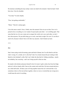He murmurs something but stays asleep. I press my hand to his stomach. I take his hand. I hold him close. I kiss his shoulder.

"You okay?" he asks sleepily.

"Fine. Just getting comfortable."

"Mmm." Then he's asleep again.

I love this man so much. I have, I think, since the moment I first set eyes on him. Now we're poised to have everything we ever wanted. Except maybe each other—we're drifting apart. That sense that the two of us are a team out to conquer the world, out to save each other, we don't have that anymore. We just drift along, go to work, come back at night. We exist. It's not like it used to be, because it doesn't have to be that way anymore. And it breaks my heart.

\*\*\*\*

## **Jess**

Sam's been acting weird all morning, quiet and kind of distant, but I'm still afraid to ask him what's wrong. It's a cliché, isn't it, this fear? Like I'm a lonely housewife just waiting to find lipstick on her husband's collar. But I can't shake the idea that he's hiding something—maybe not infidelity, but *something*—and I can't bring myself to find out what.

He stands in the kitchen and pours himself a bowl of cereal. I grab a sticky bun from the fridge and eat it with my hands while I lean on the counter and watch him. He turns around and gives me a little half-smile. All these years of living together means this isn't awkward like it was sometimes when we first moved here together, when we were so worried that one wrong move would mean the end of everything.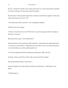He says, "I found out yesterday. We're going on the road. Two weeks in San Francisco and then two weeks in Chicago. We leave three weeks from Friday."

My heart sinks. On the one hand, maybe that's all that his weird behavior signifies. On the other, I hate when he goes out of town. "Oh."

"You could come with me, you know. Evie is bringing her husband."

"But then I won't be working."

"I told you. You don't have to work. With what we've got in savings and what I'm making on this show, we're good."

Both choices feel wrong. "Let me think about it."

Sam puts his bowl on the counter and walks toward me. "I hope that you do. Really think about it. I want you to come with me. I understand if you can't. But we never see each other anymore, or it sure feels that way, and this could be good for us."

"You'll be working the whole time. Rehearsals, performances. What will I do?"

He shrugs. "Enjoy yourself. Be a tourist. Take some time off from working."

That sounds perfectly boring. "I don't know..."

He puts his hands on my waist and then swoops down and kisses me. "Think about it, Jess. Okay?"

"I'll think about it."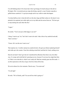I'm still thinking about it five hours later when I get hungry for lunch and go to the deli on Rivington. Mrs. Lowenstein put up a sign advertising a special: a cup of tomato soup plus a grilled-cheese sandwich. I've got just enough cash in my wallet to make that happen.

I'm about halfway into it when the bell over the door rings and Matt waltzes in. He doesn't even pretend to be surprised, just walks right over to my table and sits across from me. "We have got to stop running into each other like this."

"I agree."

He smirks. "You're not just a little happy to see me?"

I shrug. I want to say "no," but I don't want to be rude. I take a bite of my sandwich and add, "Sam's not here."

"I know. He's not the one I want to see."

That surprises me. I swallow and put my sandwich down. He gets up without explaining himself and walks up to the counter. I hear him ordering corned beef, and then he's back, smiling at me.

Does he not learn? I don't get why he's transferred his affections from Sam to me, but either way, it's creepy and weird that he's pursuing me now, because I'm not any less single than Sam is. If that's even what this is, which I can't really tell. Matt has certainly gone into flirt mode—I see this expression on the face of guys who hit on Sam all the time.

We eat in silence for a few moments. Then he says, "You seem sad."

"I'm all right."

He nods. "We're friends, yeah? You can tell me what's going on."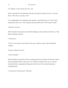"It's nothing." I want to shout, *Back off, creep!*

But he's got kind of a soft expression on his face, his eyebrows raised as if to say, "I am not a threat." "Well. How's your day so far?"

It's an underhanded way of asking the same question. I could reflexively say, "Good," but he already knows that's a lie. "Sam's going on the road with the show. He'll be gone a month."

"That bites. I'm sorry."

Matt's basically the last person who should be helping me make a decision, but still I say, "Sam thinks I should go with him."

"Could be fun."

"Yeah. I've never been to San Francisco. Sam says I could be a tourist. Take a break from working."

"Sam says. What do you say?"

"I haven't decided."

Silence stretches out around us a like a cat waking up from a nap. I glance out the front window and watch people bustle by. There aren't a lot of offices in this part of the city, so everyone outside looks like a young hipster killing time while he lives off a trust fund and pursues something artistic.

"You always do what Sam says?" Matt asks.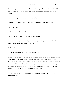"No." Although I kind of do. Sam usually knows what's right. I know how that sounds, but it honestly doesn't bother me. I can make a decision when it matters. Current evidence to the contrary.

I start to doubt myself as Matt stares at me skeptically.

"That doesn't get tired?" he says. "Always doing what your boyfriend tells you to do?"

"Why do you care?"

He shoots me a little half-smile. "You intrigue me, Jess. I've never met anyone like you."

I don't know how to respond to that, so I don't say anything.

He picks it up anyway. "The latest *GQ*. There's a cologne ad. I forget the name of the cologne, but there's a black and white picture of a guy. Of you."

"I told you I model."

"You're gorgeous. I don't know why I didn't notice sooner."

The sincerity in his voice puts me on edge. I want to turn him down, tell him to fuck off, tell him I want no part of his friendship or anything else he's offering. But turning guys down, which doesn't happen that often, is like a routine. I've got Sam at home. But do I really? Things with us have been weird lately. I still love him with all my heart, but he won't even tell me what's going on. Something is definitely up with him, but he won't tell me what it is. Even if it's not what I think, if he won't tell me, what kind of relationship do we have?

I look at Matt, who really isn't bad looking. He's handsome, actually, in sort of a bland, unthreatening way.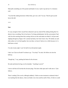Matt pulls something out of his pocket and hands it to me. I pick it up and see it's a business card.

"You feel like making decisions without Sam, give me a call," he says. Then he gets up and leaves the deli.

\*\*\*\*

### **Sam**

It's easy enough to throw myself into rehearsal to put my mind off the sinking feeling that I'm about to lose everything. Part of me knows I'm being melodramatic, but the conversation I had with Jess this morning about him coming with me on the road makes me think it's all just sand slipping through my fingers. He's seemed sad lately, but I don't know why. We hardly see each other unless we're in bed together, but even then, we haven't had sex in a while because we've both been so tired.

I'm only twenty-eight. I can't be half of an old married couple.

I don't see Tyler at all until I'm about to go. "You okay?" he asks. He follows me into the hallway.

"Rough day," I say, pushing the button for the elevator.

He nods and hoists his bag over his shoulder. "Anything I can do?"

I turn to tell him off, but then the elevator pings. The doors slide open and I walk onto it. Tyler follows.

There's nothing Tyler can do, although suddenly, I flash on some moments in rehearsal when I was teaching him the dances, when our bodies were close and the smell of him, of what we could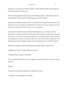be together, was all around us. Without wanting to, I think about him naked, about fucking him. He just stands there and smiles at me.

The elevator pings again and the doors open to the building's lobby. I walk through it and wave at the doorman. Tyler trails after me, following me out onto the sidewalk.

I think about everything he represents. He's a successful actor. He's done lots of Broadway. He's going to be in a movie. He knows a casting director. He wants me. He wants to help me succeed. He wants me sexually. He's not Jess. *He's not Jess*. He wants me.

I start to panic. I should turn away and walk toward the subway or, even better, just walk downtown to my apartment and blow off this steam. What I should do is call Jess, have him meet me at the bar—no, wait, too many other gay guys there, too many distractions. What I should do is grab takeout, take it home, eat with Jess, make love to him like the world is ending, and fix my fucking life so I'm not so unhappy, because I have everything and yet I'm miserable suddenly.

But what I do instead is stand on that sidewalk, look at Tyler, and say, "I don't know."

"What don't you know?" he asks, taking a step forward.

"Anything. What I'm doing. If I need help."

"Are you asking for help? Because you've helped me so much that it's only fair for me to return the favor."

"Maybe."

He reaches over and dusts something off my shoulder. He smiles.

"I should go," I say, gathering my wits finally.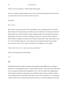"Okay. I'll see you tomorrow." Then he steps forward again.

I know he's going to hug me before he moves to do it, then I let him hug me, then I let him kiss my cheek, then I turn my face, then he's about to kiss me.

I hop away.

*He's not Jess*.

That's what's wrong with my life. That's the problem. I have everything except Jess. He'll be there at home, he'll come running if I call him, but I don't really have *him* because of this weird distance between us, like the creaks of a house settling at night. I have this great job and these opportunities, but the love of my life is drifting away from me. I'd give up all of it and move back to Ohio in a heartbeat if it meant I got to keep Jess. Because he's what really matters to me, he's why I do all these things, he's why I wake up in the morning and come home at night. I have to fix this, I have to fix us. Then I will truly have everything I've ever wanted.

"Sorry, Tyler," I say. "Go... I have to go. See you tomorrow."

Then I do turn and run down the sidewalk.

#### \*\*\*\*

## **Jess**

Orchard Street makes me think of pushcarts and immigrants and huddled masses yearning to breathe free, even though these days it's all posh shops and cafes. I read a book about Ellis Island a few years ago that said that most immigrants to New York City settled in this neighborhood, whole families crammed into apartments even smaller than the one I share with Sam. I think it was a natural place for me and Sam to land when we got to New York. But now—I'm sitting on a bench in front of an ice cream shop and look up at the row of red-brick tenements on the other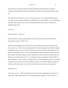side of the street, all of them with fire escapes painted dark schoolyard green, and there's something weird and festive about that, Christmas colors like a memory against the late winter sun.

Sam walks down the street. He waves, so I know he sees me. He's wearing his leather jacket over a pair of warm-up pants, and there's a duffel thrown over his shoulder, so he's coming from rehearsal. When he gets to me, he sits on the bench and throws his arm over the back, not touching me but close.

"Hi," I say.

He nods. He says, "I miss you."

My first instinct is to make a joke about how I haven't gone anywhere, but I feel what he's saying deep in my gut. "Yeah," I say.

He looks at the buildings across the street, the weird crosshatch of green fire escapes and red brick, and he says, "Tyler, the actor playing Enoch, he's been driving me nuts. I think he feigned incompetence to get close to me. He also offered to put me in touch with a casting director who got him a small part in a movie. And I started thinking that maybe I should be trying to get more parts, maybe I should be trying to do more, maybe there's more out there for me than a part in a Broadway revival. But there isn't. It's... I'm playing the lead in a Broadway musical! That's it, that's the dream! I've got it! But it's nothing, because I feel you pulling away from me, and I feel a strain between us lately, and it has me looking to fill the void with other things, but at the end of the day, all I really want is you. And I'm worried that I'm not what you want anymore."

And there it was.

"Sam. How can you...?" But I trail off because I know what he's talking about. I know how he can say that. I take a deep breath. If we're confessing things, I suppose it's time for mine. "I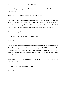knew something was wrong, but I couldn't figure out what. For I while, I thought you were cheating on me."

"Jess. How can *you*…?" He shakes his head and laughs ruefully.

I keep going. "I know you would never do it. I *know* that. But I'm worried. I'm worried I won't be able to work much longer because everyone will want someone younger and hotter. I'm worried I'm not good enough. I'm worried I'm not worthy of you, of New York, of this life that we've chosen. I'm worried about everything and I feel so totally lost all the time lately."

"You're good enough," he says.

"You're what I want. Always. You're my first and only."

"Let's go home."

I read somewhere that our building had once housed six different families, crammed onto four floors. The building is now divided into eight apartments, one of which is our cozy one bedroom. Just the two of us share a still-crowded space, and I sometimes try to imagine what it would be like if I had extended family and kids living here, too. I can't picture it. Probably because when Sam is there, he fills the space.

We're both in the living room, looking at each other. Just sort of standing there. We're on the edge of something.

"It's harder than I thought it would be," he says.

"What is?"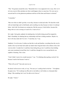"This." He gestures around the room. "Remember how it was supposed to be so easy. How we'd sit in my room in Ohio and plan out what would happen when we came here. We were sure to succeed and live in the glamorous penthouse and have all the fame and fortune we desired."

"I remember"

"But even when we didn't get that, it was okay, because we had each other. We faced the world with our heads high, and we held hands, and everything was okay because we knew it would get better. And it did. Our dreams are coming true. But this success, it feels hollow, because this thing with us is not as strong as it used to be. I want to fix it."

He's right. I feel guilty suddenly for doubting him, for briefly letting myself be tempted by Matt's friendship, for thinking that my relationship with Sam is failing somehow. Maybe it is, but it will only really fail if we let it. "I want that, too," I say.

Suddenly, I'm in his arms. It strikes me that this is safe and familiar, everything from the way he smells to the way his body feels under my hands when I hug him back to the softness of his wellworn tee-shirt. I wonder how I could have been letting this go, how I could have been holding onto some resentment toward Sam, how I could have thought for even a second that he was capable of cheating. This is *Sam*.

"I don't think I want to be a model anymore," I say. "I'm thinking about getting a real job. Not because I need to but because I want to."

"What will you do?" Sam asks near my ear.

He doesn't tell me not to work, so I say, "Not sure yet. I could go back to the bar—" He tightens his grip on me. "Or I could get an office job or wait tables or sell clothes or a thousand other things. I like modeling, but I won't be able to do it forever."

He sighs. "I know."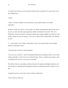"So maybe I go with you on your road trip, but then when we get back, I try to get a job. I try to do something new."

"Yeah?"

"Yeah. I've always wanted to see San Francisco, and a month without you would be unbearable."

He doesn't really react at first. I worry maybe I've said the wrong thing. But then his lips are on my jaw, my neck, his teeth scrape against my earlobe, his hands are in my hair. Then we're kissing like we haven't kissed in a long time, mouths open, tongues tangled, sweet and slow and sensual. Against my lips, he murmurs, "I love you so much. Did you really think I was cheating on you?"

"I… yeah, maybe, sort of. I didn't really believe it, but I was trying to figure out why things between us had gotten weird."

"I just lost track of what was really important."

"I love you, too, you know." And I'm reminded of that trip he took upstate when we were still in college, right after we said "I love you" for the first time, when we couldn't stop saying it, when every phone call was just, "I love you! It's awesome!"

We still have that in us somewhere, still have the power to surprise and delight each other, still have all this love and hope and fear bottled up inside just waiting for the other to hold it or set it free.

I'm glad it's not lost. I don't know what I would do without Sam.

"Tyler wants me," Sam says.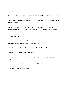"Your costar?"

"Uh, huh. He's been pursuing me, but I never did anything with him. I keep turning him down."

I believe him. I also tell him the whole truth. "That guy Matt? I thought he was stalking you, but today he hit on me."

Sam kisses me again. "We have to stay honest. We have to talk through our issues without making assumptions. And we have to come back to each other. Sometimes it's not easy to say no."

"But sometimes it is."

He smiles. "Yeah. You're still beautiful, you know that? My beautiful boy. Don't let anyone ever tell you otherwise. Designers, casting agents, none of them know shit."

I shrug. "I don't care what they think as long as you think I'm beautiful."

"I do. I know it. I will always come home to you."

"I know." I kiss him. "I think you're beautiful, too. And smart and talented. And the best guy I know."

He smiles. "Come to bed with me. I have to have you right now."

"Yes." Because there is no other answer.

\*\*\*\*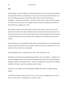### **Sam**

In this lighting, I can see the lighter roots of his dyed-dark hair, and I can see the eyeliner and the manicured nails. But these are affectations. He's got my name tattooed on his hip, but that's just ink. These things are gorgeous, but they don't matter; they're a part of him but they're changeable—well, maybe not the tattoo—and they're not his essence. They are not the long lines of his nose, his arms, his chest, not his laugh, his brain, his heart, not all the parts that make up this man that I'm so deeply in love with.

He's splayed on the bed, on his back, naked. I climb onto the mattress. I hover over him. I'm naked, too. He smiles and it's like a thousand smiles and yet like none because such a smile is so rare these days. But it's real and I love him and he loves me and everything is fine. I dip my head to kiss him and he puts his arms around my neck, holding me close, forcing my body to line up with his.

How could I have ever overlooked this? When did sex become perfunctory, just this thing we did to get our needs met. My need for Jess is deeper. I need him close to me, I need him to love me, I need to love him, I need for us to be together.

We kiss languidly, like we've got all the time in the world. And maybe we do.

We make love with the rising moonlight bouncing off the walls of our bedroom—mingled as it is with the streetlights outside, with the sounds of backfiring motorcycles and car horns and people shouting, reminders of our urban existence—and he's everything and everywhere and so fucking beautiful it *still* hurts to look at him sometimes and it's perfect.

Afterward, we lay together, sweaty and panting but happy and satisfied, our fingers and legs tangled.

"We still have a future to look forward to," he says. "Life is always changing. We age, we have money, we lose money, we change jobs, we succeed, we fail."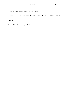"Yeah." He's right. "And we can face anything together."

He turns his head and kisses my cheek. "We can do anything." He laughs. "That's such a cliché."

"Sure, but it's true."

"And that's how I know we're just fine."